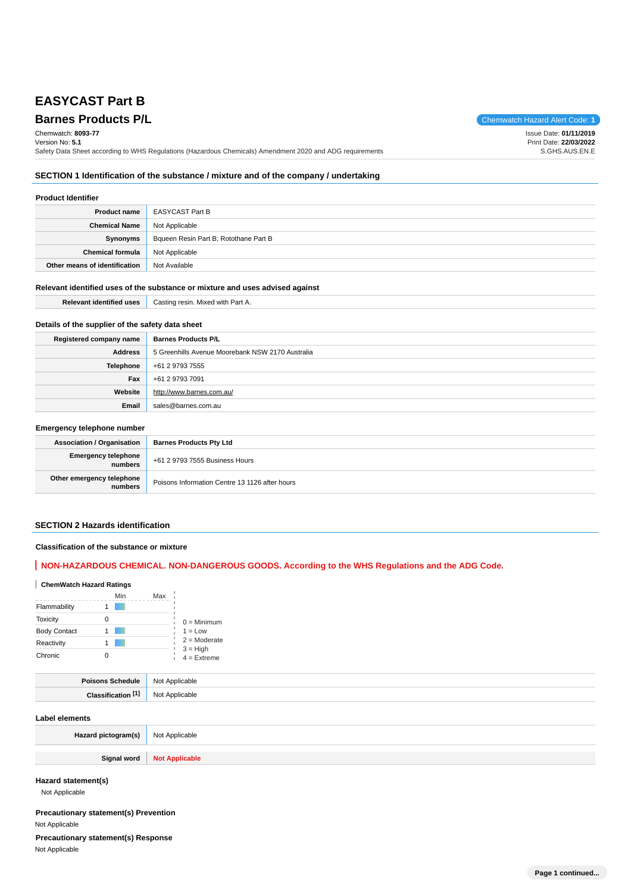# **EASYCAST Part B**

**Barnes Products P/L Chemwatch Hazard Alert Code: 1** Chemwatch: **8093-77** Version No: **5.1** Safety Data Sheet according to WHS Regulations (Hazardous Chemicals) Amendment 2020 and ADG requirements Issue Date: **01/11/2019** Print Date: **22/03/2022** S.GHS.AUS.EN.E

## **SECTION 1 Identification of the substance / mixture and of the company / undertaking**

### **Product Identifier**

| Product name                  | EASYCAST Part B                       |
|-------------------------------|---------------------------------------|
| <b>Chemical Name</b>          | Not Applicable                        |
| Synonyms                      | Bqueen Resin Part B; Rotothane Part B |
| Chemical formula              | Not Applicable                        |
| Other means of identification | Not Available                         |

### **Relevant identified uses of the substance or mixture and uses advised against**

| ▫⌒<br>-00<br>mer<br>''<br>л.<br>---- | with Part.<br>resir<br>Casting<br>Mixed<br>all A. |
|--------------------------------------|---------------------------------------------------|
|                                      |                                                   |

## **Details of the supplier of the safety data sheet**

| Registered company name | <b>Barnes Products P/L</b>                       |  |
|-------------------------|--------------------------------------------------|--|
| Address                 | 5 Greenhills Avenue Moorebank NSW 2170 Australia |  |
| Telephone               | +61 2 9793 7555                                  |  |
| Fax                     | +61 2 9793 7091                                  |  |
| Website                 | http://www.barnes.com.au/                        |  |
| Email                   | sales@barnes.com.au                              |  |

### **Emergency telephone number**

| <b>Association / Organisation</b>    | <b>Barnes Products Pty Ltd</b>                 |  |
|--------------------------------------|------------------------------------------------|--|
| Emergency telephone<br>numbers       | +61 2 9793 7555 Business Hours                 |  |
| Other emergency telephone<br>numbers | Poisons Information Centre 13 1126 after hours |  |

## **SECTION 2 Hazards identification**

#### **Classification of the substance or mixture**

## **NON-HAZARDOUS CHEMICAL. NON-DANGEROUS GOODS. According to the WHS Regulations and the ADG Code.**

## **ChemWatch Hazard Ratings**

|                     | Min | Max |                             |
|---------------------|-----|-----|-----------------------------|
| Flammability        |     |     |                             |
| <b>Toxicity</b>     | Ω   |     | $0 =$ Minimum               |
| <b>Body Contact</b> |     |     | $1 = Low$                   |
| Reactivity          |     |     | $2 =$ Moderate              |
| Chronic             |     |     | $3 = High$<br>$4 =$ Extreme |

| .               | <b>NC</b><br>. |
|-----------------|----------------|
| EA <sup>*</sup> |                |

#### **Label elements**

| Hazard pictogram(s) | Not Applicable        |
|---------------------|-----------------------|
| Signal word         | <b>Not Applicable</b> |

**Hazard statement(s)**

Not Applicable

## **Precautionary statement(s) Prevention** Not Applicable

**Precautionary statement(s) Response**

Not Applicable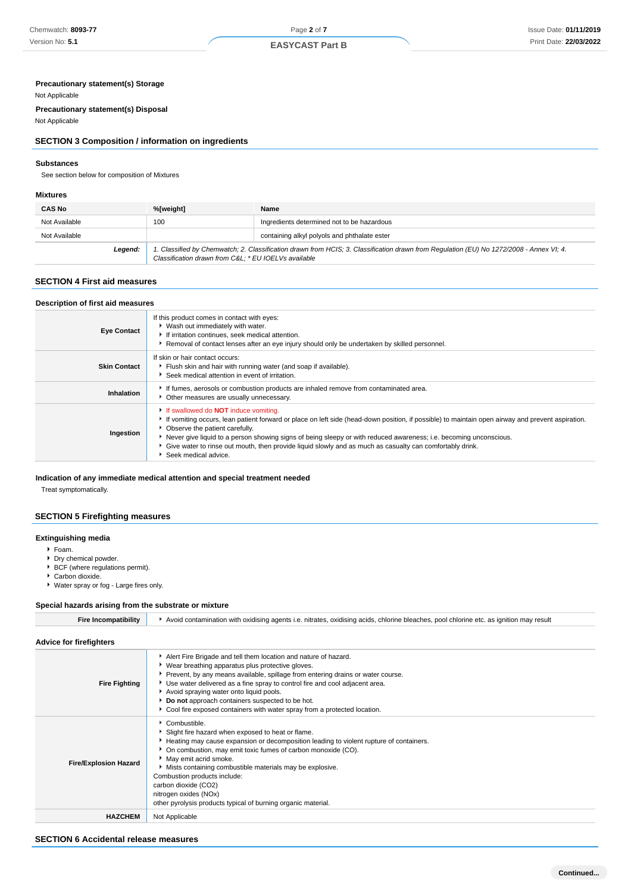## **Precautionary statement(s) Storage**

#### Not Applicable

**Precautionary statement(s) Disposal** Not Applicable

## **SECTION 3 Composition / information on ingredients**

#### **Substances**

See section below for composition of Mixtures

#### **Mixtures**

| <b>CAS No</b> | %[weight]                                                                                                                                                                                      | Name                                         |
|---------------|------------------------------------------------------------------------------------------------------------------------------------------------------------------------------------------------|----------------------------------------------|
| Not Available | 100                                                                                                                                                                                            | Ingredients determined not to be hazardous   |
| Not Available |                                                                                                                                                                                                | containing alkyl polyols and phthalate ester |
| Legend:       | 1. Classified by Chemwatch; 2. Classification drawn from HCIS; 3. Classification drawn from Regulation (EU) No 1272/2008 - Annex VI; 4.<br>Classification drawn from C&L * EU IOELVs available |                                              |

#### **SECTION 4 First aid measures**

#### **Description of first aid measures**

| <b>Eye Contact</b>  | If this product comes in contact with eyes:<br>▶ Wash out immediately with water.<br>If irritation continues, seek medical attention.<br>Removal of contact lenses after an eye injury should only be undertaken by skilled personnel.                                                                                                                                                                                                                                                                             |
|---------------------|--------------------------------------------------------------------------------------------------------------------------------------------------------------------------------------------------------------------------------------------------------------------------------------------------------------------------------------------------------------------------------------------------------------------------------------------------------------------------------------------------------------------|
| <b>Skin Contact</b> | If skin or hair contact occurs:<br>Flush skin and hair with running water (and soap if available).<br>Seek medical attention in event of irritation.                                                                                                                                                                                                                                                                                                                                                               |
| Inhalation          | If fumes, aerosols or combustion products are inhaled remove from contaminated area.<br>• Other measures are usually unnecessary.                                                                                                                                                                                                                                                                                                                                                                                  |
| Ingestion           | If swallowed do <b>NOT</b> induce vomiting.<br>If vomiting occurs, lean patient forward or place on left side (head-down position, if possible) to maintain open airway and prevent aspiration.<br>• Observe the patient carefully.<br>Never give liquid to a person showing signs of being sleepy or with reduced awareness; i.e. becoming unconscious.<br>Give water to rinse out mouth, then provide liquid slowly and as much as casualty can comfortably drink.<br>$\blacktriangleright$ Seek medical advice. |

#### **Indication of any immediate medical attention and special treatment needed**

Treat symptomatically.

#### **SECTION 5 Firefighting measures**

## **Extinguishing media**

Foam.

- Dry chemical powder.
- ▶ BCF (where regulations permit).
- ▶ Carbon dioxide.
- Water spray or fog Large fires only.

#### **Special hazards arising from the substrate or mixture**

| <b>Fire Incompatibility</b>    | Avoid contamination with oxidising agents i.e. nitrates, oxidising acids, chlorine bleaches, pool chlorine etc. as ignition may result                                                                                                                                                                                                                                                                                                                               |  |  |
|--------------------------------|----------------------------------------------------------------------------------------------------------------------------------------------------------------------------------------------------------------------------------------------------------------------------------------------------------------------------------------------------------------------------------------------------------------------------------------------------------------------|--|--|
| <b>Advice for firefighters</b> |                                                                                                                                                                                                                                                                                                                                                                                                                                                                      |  |  |
| <b>Fire Fighting</b>           | Alert Fire Brigade and tell them location and nature of hazard.<br>▶ Wear breathing apparatus plus protective gloves.<br>Prevent, by any means available, spillage from entering drains or water course.<br>▶ Use water delivered as a fine spray to control fire and cool adjacent area.<br>Avoid spraying water onto liquid pools.<br>Do not approach containers suspected to be hot.<br>Cool fire exposed containers with water spray from a protected location.  |  |  |
| <b>Fire/Explosion Hazard</b>   | Combustible.<br>Slight fire hazard when exposed to heat or flame.<br>Heating may cause expansion or decomposition leading to violent rupture of containers.<br>• On combustion, may emit toxic fumes of carbon monoxide (CO).<br>May emit acrid smoke.<br>Mists containing combustible materials may be explosive.<br>Combustion products include:<br>carbon dioxide (CO2)<br>nitrogen oxides (NOx)<br>other pyrolysis products typical of burning organic material. |  |  |
| <b>HAZCHEM</b>                 | Not Applicable                                                                                                                                                                                                                                                                                                                                                                                                                                                       |  |  |

## **SECTION 6 Accidental release measures**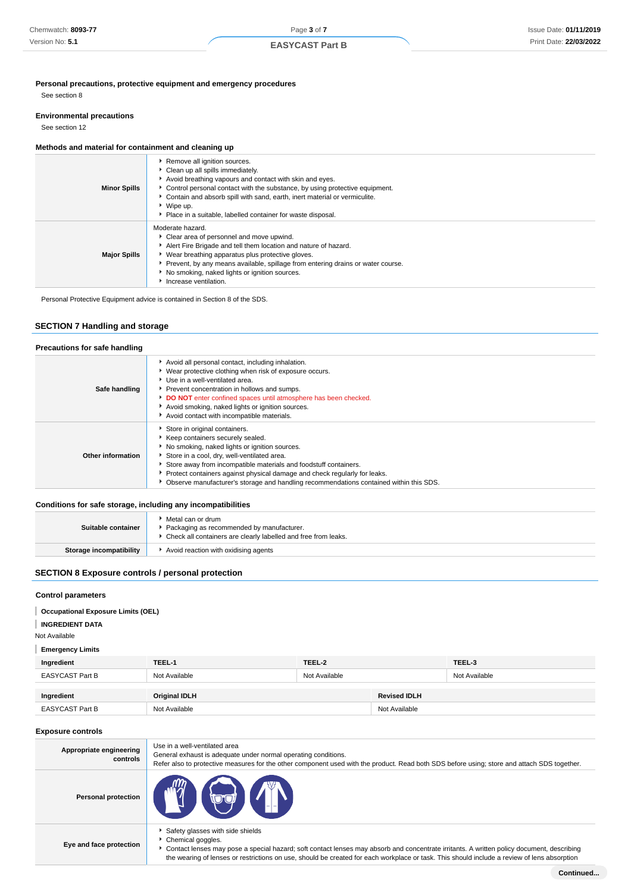## **Personal precautions, protective equipment and emergency procedures**

See section 8

#### **Environmental precautions**

See section 12

## **Methods and material for containment and cleaning up**

| <b>Minor Spills</b> | Remove all ignition sources.<br>Clean up all spills immediately.<br>Avoid breathing vapours and contact with skin and eyes.<br>► Control personal contact with the substance, by using protective equipment.<br>Contain and absorb spill with sand, earth, inert material or vermiculite.<br>▶ Wipe up.<br>• Place in a suitable, labelled container for waste disposal. |
|---------------------|--------------------------------------------------------------------------------------------------------------------------------------------------------------------------------------------------------------------------------------------------------------------------------------------------------------------------------------------------------------------------|
| <b>Major Spills</b> | Moderate hazard.<br>Clear area of personnel and move upwind.<br>Alert Fire Brigade and tell them location and nature of hazard.<br>▶ Wear breathing apparatus plus protective gloves.<br>▶ Prevent, by any means available, spillage from entering drains or water course.<br>No smoking, naked lights or ignition sources.<br>Increase ventilation.                     |

Personal Protective Equipment advice is contained in Section 8 of the SDS.

## **SECTION 7 Handling and storage**

| Precautions for safe handling |                                                                                                                                                                                                                                                                                                                                                                                                                |
|-------------------------------|----------------------------------------------------------------------------------------------------------------------------------------------------------------------------------------------------------------------------------------------------------------------------------------------------------------------------------------------------------------------------------------------------------------|
| Safe handling                 | Avoid all personal contact, including inhalation.<br>▶ Wear protective clothing when risk of exposure occurs.<br>▶ Use in a well-ventilated area.<br>Prevent concentration in hollows and sumps.<br>DO NOT enter confined spaces until atmosphere has been checked.<br>Avoid smoking, naked lights or ignition sources.<br>Avoid contact with incompatible materials.                                          |
| Other information             | Store in original containers.<br>Keep containers securely sealed.<br>No smoking, naked lights or ignition sources.<br>Store in a cool, dry, well-ventilated area.<br>Store away from incompatible materials and foodstuff containers.<br>Protect containers against physical damage and check regularly for leaks.<br>• Observe manufacturer's storage and handling recommendations contained within this SDS. |

#### **Conditions for safe storage, including any incompatibilities**

| Suitable container      | Metal can or drum<br>Packaging as recommended by manufacturer.<br>▶ Check all containers are clearly labelled and free from leaks. |
|-------------------------|------------------------------------------------------------------------------------------------------------------------------------|
| Storage incompatibility | Avoid reaction with oxidising agents                                                                                               |

## **SECTION 8 Exposure controls / personal protection**

## **Control parameters**

- **Occupational Exposure Limits (OEL)**
- **INGREDIENT DATA**

Not Available

**Emergency Limits**

| Ingredient             | TEEL-1        | TEEL-2        |                     | TEEL-3        |
|------------------------|---------------|---------------|---------------------|---------------|
| <b>EASYCAST Part B</b> | Not Available | Not Available |                     | Not Available |
|                        |               |               | <b>Revised IDLH</b> |               |
| Ingredient             | Original IDLH |               |                     |               |
| <b>EASYCAST Part B</b> | Not Available |               | Not Available       |               |

#### **Exposure controls**

| Appropriate engineering<br>controls | Use in a well-ventilated area<br>General exhaust is adequate under normal operating conditions.<br>Refer also to protective measures for the other component used with the product. Read both SDS before using; store and attach SDS together.                                                                                                    |
|-------------------------------------|---------------------------------------------------------------------------------------------------------------------------------------------------------------------------------------------------------------------------------------------------------------------------------------------------------------------------------------------------|
| <b>Personal protection</b>          | $\left(\sqrt{q}\right)\left(\frac{1}{q}\right)\left(\frac{1}{q}\right)$                                                                                                                                                                                                                                                                           |
| Eye and face protection             | Safety glasses with side shields<br>Chemical goggles.<br>Contact lenses may pose a special hazard; soft contact lenses may absorb and concentrate irritants. A written policy document, describing<br>the wearing of lenses or restrictions on use, should be created for each workplace or task. This should include a review of lens absorption |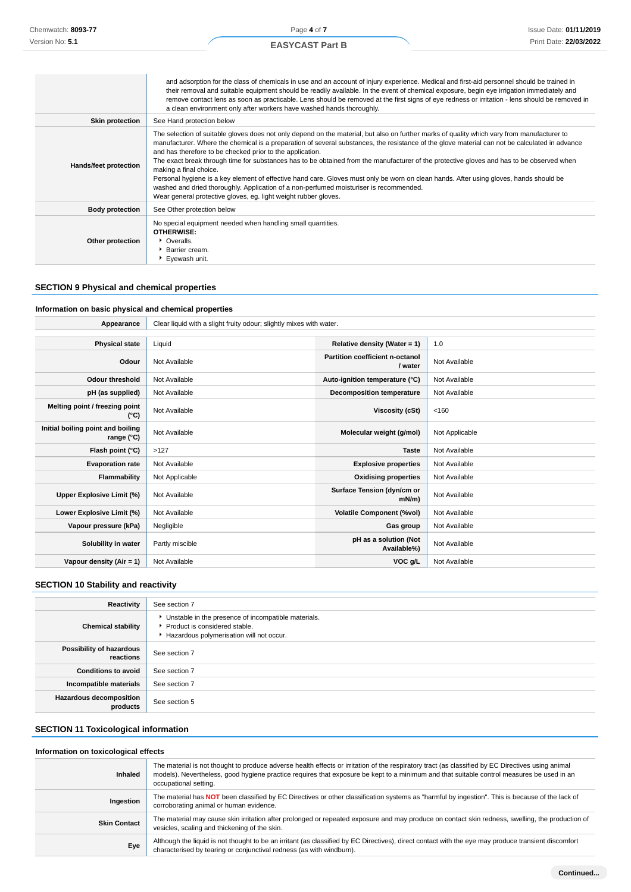## **EASYCAST Part B**

|                        | and adsorption for the class of chemicals in use and an account of injury experience. Medical and first-aid personnel should be trained in<br>their removal and suitable equipment should be readily available. In the event of chemical exposure, begin eye irrigation immediately and<br>remove contact lens as soon as practicable. Lens should be removed at the first signs of eye redness or irritation - lens should be removed in<br>a clean environment only after workers have washed hands thoroughly.                                                                                                                                                                                                                                                                                                                        |
|------------------------|------------------------------------------------------------------------------------------------------------------------------------------------------------------------------------------------------------------------------------------------------------------------------------------------------------------------------------------------------------------------------------------------------------------------------------------------------------------------------------------------------------------------------------------------------------------------------------------------------------------------------------------------------------------------------------------------------------------------------------------------------------------------------------------------------------------------------------------|
| <b>Skin protection</b> | See Hand protection below                                                                                                                                                                                                                                                                                                                                                                                                                                                                                                                                                                                                                                                                                                                                                                                                                |
| Hands/feet protection  | The selection of suitable gloves does not only depend on the material, but also on further marks of quality which vary from manufacturer to<br>manufacturer. Where the chemical is a preparation of several substances, the resistance of the glove material can not be calculated in advance<br>and has therefore to be checked prior to the application.<br>The exact break through time for substances has to be obtained from the manufacturer of the protective gloves and has to be observed when<br>making a final choice.<br>Personal hygiene is a key element of effective hand care. Gloves must only be worn on clean hands. After using gloves, hands should be<br>washed and dried thoroughly. Application of a non-perfumed moisturiser is recommended.<br>Wear general protective gloves, eg. light weight rubber gloves. |
| <b>Body protection</b> | See Other protection below                                                                                                                                                                                                                                                                                                                                                                                                                                                                                                                                                                                                                                                                                                                                                                                                               |
| Other protection       | No special equipment needed when handling small quantities.<br><b>OTHERWISE:</b><br>• Overalls.<br><b>Barrier cream.</b><br>Eyewash unit.                                                                                                                                                                                                                                                                                                                                                                                                                                                                                                                                                                                                                                                                                                |

## **SECTION 9 Physical and chemical properties**

 $\mathcal{L}^{\text{max}}_{\text{max}}$ 

#### **Information on basic physical and chemical properties**

| Appearance                                      | Clear liquid with a slight fruity odour; slightly mixes with water. |                                            |                |
|-------------------------------------------------|---------------------------------------------------------------------|--------------------------------------------|----------------|
|                                                 |                                                                     |                                            |                |
| <b>Physical state</b>                           | Liquid                                                              | Relative density (Water = 1)               | 1.0            |
| Odour                                           | Not Available                                                       | Partition coefficient n-octanol<br>/ water | Not Available  |
| <b>Odour threshold</b>                          | Not Available                                                       | Auto-ignition temperature (°C)             | Not Available  |
| pH (as supplied)                                | Not Available                                                       | Decomposition temperature                  | Not Available  |
| Melting point / freezing point<br>(°C)          | Not Available                                                       | <b>Viscosity (cSt)</b>                     | < 160          |
| Initial boiling point and boiling<br>range (°C) | Not Available                                                       | Molecular weight (g/mol)                   | Not Applicable |
| Flash point (°C)                                | >127                                                                | <b>Taste</b>                               | Not Available  |
| <b>Evaporation rate</b>                         | Not Available                                                       | <b>Explosive properties</b>                | Not Available  |
| Flammability                                    | Not Applicable                                                      | <b>Oxidising properties</b>                | Not Available  |
| Upper Explosive Limit (%)                       | Not Available                                                       | Surface Tension (dyn/cm or<br>$mN/m$ )     | Not Available  |
| Lower Explosive Limit (%)                       | Not Available                                                       | <b>Volatile Component (%vol)</b>           | Not Available  |
| Vapour pressure (kPa)                           | Negligible                                                          | Gas group                                  | Not Available  |
| Solubility in water                             | Partly miscible                                                     | pH as a solution (Not<br>Available%)       | Not Available  |
| Vapour density (Air = 1)                        | Not Available                                                       | VOC g/L                                    | Not Available  |

## **SECTION 10 Stability and reactivity**

| Reactivity                                 | See section 7                                                                                                                        |
|--------------------------------------------|--------------------------------------------------------------------------------------------------------------------------------------|
| <b>Chemical stability</b>                  | • Unstable in the presence of incompatible materials.<br>▶ Product is considered stable.<br>Hazardous polymerisation will not occur. |
| Possibility of hazardous<br>reactions      | See section 7                                                                                                                        |
| <b>Conditions to avoid</b>                 | See section 7                                                                                                                        |
| Incompatible materials                     | See section 7                                                                                                                        |
| <b>Hazardous decomposition</b><br>products | See section 5                                                                                                                        |

## **SECTION 11 Toxicological information**

#### **Information on toxicological effects**

| <b>Inhaled</b>      | The material is not thought to produce adverse health effects or irritation of the respiratory tract (as classified by EC Directives using animal<br>models). Nevertheless, good hygiene practice requires that exposure be kept to a minimum and that suitable control measures be used in an<br>occupational setting. |
|---------------------|-------------------------------------------------------------------------------------------------------------------------------------------------------------------------------------------------------------------------------------------------------------------------------------------------------------------------|
| Ingestion           | The material has NOT been classified by EC Directives or other classification systems as "harmful by ingestion". This is because of the lack of<br>corroborating animal or human evidence.                                                                                                                              |
| <b>Skin Contact</b> | The material may cause skin irritation after prolonged or repeated exposure and may produce on contact skin redness, swelling, the production of<br>vesicles, scaling and thickening of the skin.                                                                                                                       |
| Eye                 | Although the liquid is not thought to be an irritant (as classified by EC Directives), direct contact with the eye may produce transient discomfort<br>characterised by tearing or conjunctival redness (as with windburn).                                                                                             |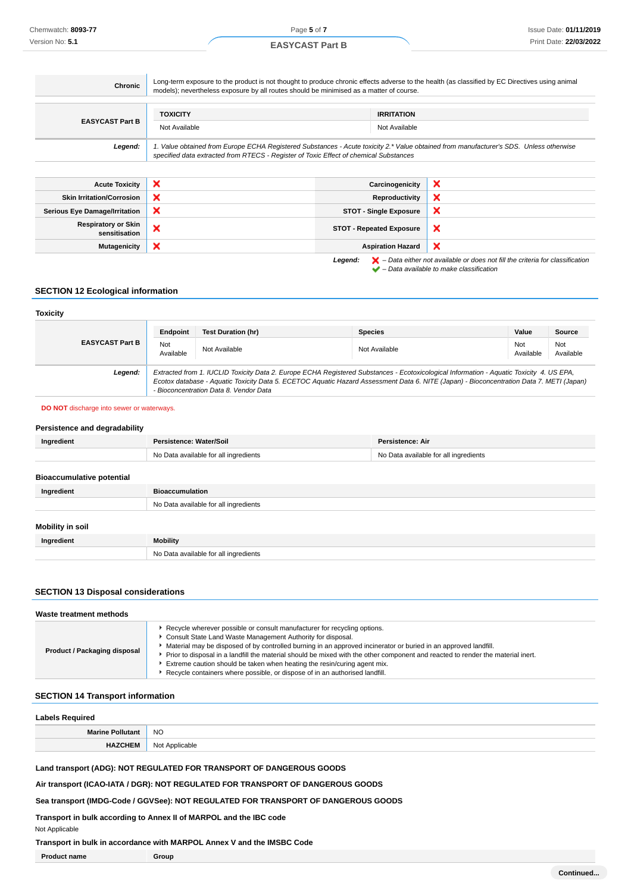| Chronic                                     | Long-term exposure to the product is not thought to produce chronic effects adverse to the health (as classified by EC Directives using animal<br>models); nevertheless exposure by all routes should be minimised as a matter of course. |                                    |                                                                                                                                                                     |
|---------------------------------------------|-------------------------------------------------------------------------------------------------------------------------------------------------------------------------------------------------------------------------------------------|------------------------------------|---------------------------------------------------------------------------------------------------------------------------------------------------------------------|
| <b>EASYCAST Part B</b>                      | <b>TOXICITY</b><br>Not Available                                                                                                                                                                                                          | <b>IRRITATION</b><br>Not Available |                                                                                                                                                                     |
| Legend:                                     | 1. Value obtained from Europe ECHA Registered Substances - Acute toxicity 2.* Value obtained from manufacturer's SDS. Unless otherwise<br>specified data extracted from RTECS - Register of Toxic Effect of chemical Substances           |                                    |                                                                                                                                                                     |
|                                             |                                                                                                                                                                                                                                           |                                    |                                                                                                                                                                     |
| <b>Acute Toxicity</b>                       | ×                                                                                                                                                                                                                                         | Carcinogenicity                    | ×                                                                                                                                                                   |
| <b>Skin Irritation/Corrosion</b>            | ×                                                                                                                                                                                                                                         | Reproductivity                     | ×                                                                                                                                                                   |
| <b>Serious Eye Damage/Irritation</b>        | ×                                                                                                                                                                                                                                         | <b>STOT - Single Exposure</b>      | ×                                                                                                                                                                   |
| <b>Respiratory or Skin</b><br>sensitisation | ×                                                                                                                                                                                                                                         | <b>STOT - Repeated Exposure</b>    | ×                                                                                                                                                                   |
| <b>Mutagenicity</b>                         | ×                                                                                                                                                                                                                                         | <b>Aspiration Hazard</b>           | ×                                                                                                                                                                   |
|                                             |                                                                                                                                                                                                                                           | Legend:                            | $\blacktriangleright$ - Data either not available or does not fill the criteria for classification<br>$\blacktriangleright$ - Data available to make classification |

#### **SECTION 12 Ecological information**

#### **Toxicity EASYCAST Part B Endpoint Test Duration (hr) Species Value Source** Not<br>Available Not Not Not Available Not Available Not Available Not Available Not Available Not Available Not Ava Available Not Available **Legend:** Extracted from 1. IUCLID Toxicity Data 2. Europe ECHA Registered Substances - Ecotoxicological Information - Aquatic Toxicity 4. US EPA, Ecotox database - Aquatic Toxicity Data 5. ECETOC Aquatic Hazard Assessment Data 6. NITE (Japan) - Bioconcentration Data 7. METI (Japan) - Bioconcentration Data 8. Vendor Data

#### **DO NOT** discharge into sewer or waterways.

| Persistence and degradability    |                                       |                                       |  |
|----------------------------------|---------------------------------------|---------------------------------------|--|
| Ingredient                       | Persistence: Water/Soil               | Persistence: Air                      |  |
|                                  | No Data available for all ingredients | No Data available for all ingredients |  |
|                                  |                                       |                                       |  |
| <b>Bioaccumulative potential</b> |                                       |                                       |  |
| Ingredient                       | <b>Bioaccumulation</b>                |                                       |  |
|                                  | No Data available for all ingredients |                                       |  |
|                                  |                                       |                                       |  |
| Mobility in soil                 |                                       |                                       |  |
| Ingredient                       | <b>Mobility</b>                       |                                       |  |
|                                  | No Data available for all ingredients |                                       |  |

#### **SECTION 13 Disposal considerations**

| Waste treatment methods      |                                                                                                                                                                                                                                                                                                                                                                                                                                                                                                                                                                |  |
|------------------------------|----------------------------------------------------------------------------------------------------------------------------------------------------------------------------------------------------------------------------------------------------------------------------------------------------------------------------------------------------------------------------------------------------------------------------------------------------------------------------------------------------------------------------------------------------------------|--|
| Product / Packaging disposal | ► Recycle wherever possible or consult manufacturer for recycling options.<br>Consult State Land Waste Management Authority for disposal.<br>Material may be disposed of by controlled burning in an approved incinerator or buried in an approved landfill.<br>▶ Prior to disposal in a landfill the material should be mixed with the other component and reacted to render the material inert.<br>Extreme caution should be taken when heating the resin/curing agent mix.<br>▶ Recycle containers where possible, or dispose of in an authorised landfill. |  |

#### **SECTION 14 Transport information**

| <b>Labels Required</b>  |                |
|-------------------------|----------------|
| <b>Marine Pollutant</b> | <b>NO</b>      |
| <b>HAZCHEM</b>          | Not Applicable |

**Land transport (ADG): NOT REGULATED FOR TRANSPORT OF DANGEROUS GOODS**

**Air transport (ICAO-IATA / DGR): NOT REGULATED FOR TRANSPORT OF DANGEROUS GOODS**

**Sea transport (IMDG-Code / GGVSee): NOT REGULATED FOR TRANSPORT OF DANGEROUS GOODS**

**Transport in bulk according to Annex II of MARPOL and the IBC code**

Not Applicable

**Transport in bulk in accordance with MARPOL Annex V and the IMSBC Code**

**Product name Group**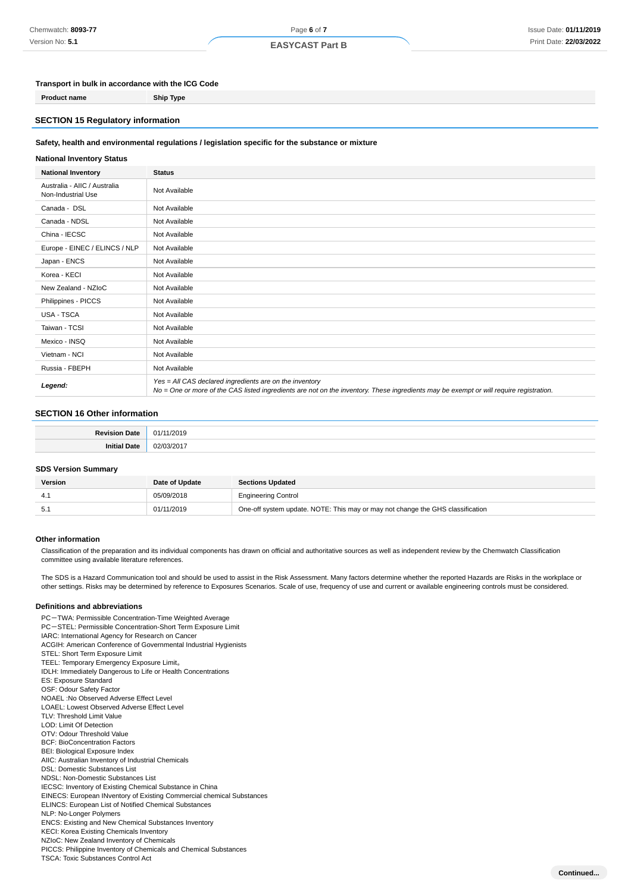## Page **6** of **7**

### **EASYCAST Part B**

#### **Transport in bulk in accordance with the ICG Code**

**Product name Ship Type**

#### **SECTION 15 Regulatory information**

#### **Safety, health and environmental regulations / legislation specific for the substance or mixture**

#### **National Inventory Status**

| <b>National Inventory</b>                          | <b>Status</b>                                                                                                                                                                                     |
|----------------------------------------------------|---------------------------------------------------------------------------------------------------------------------------------------------------------------------------------------------------|
| Australia - AIIC / Australia<br>Non-Industrial Use | Not Available                                                                                                                                                                                     |
| Canada - DSL                                       | Not Available                                                                                                                                                                                     |
| Canada - NDSL                                      | Not Available                                                                                                                                                                                     |
| China - IECSC                                      | Not Available                                                                                                                                                                                     |
| Europe - EINEC / ELINCS / NLP                      | Not Available                                                                                                                                                                                     |
| Japan - ENCS                                       | Not Available                                                                                                                                                                                     |
| Korea - KECI                                       | Not Available                                                                                                                                                                                     |
| New Zealand - NZIoC                                | Not Available                                                                                                                                                                                     |
| Philippines - PICCS                                | Not Available                                                                                                                                                                                     |
| USA - TSCA                                         | Not Available                                                                                                                                                                                     |
| Taiwan - TCSI                                      | Not Available                                                                                                                                                                                     |
| Mexico - INSQ                                      | Not Available                                                                                                                                                                                     |
| Vietnam - NCI                                      | Not Available                                                                                                                                                                                     |
| Russia - FBEPH                                     | Not Available                                                                                                                                                                                     |
| Legend:                                            | Yes = All CAS declared ingredients are on the inventory<br>No = One or more of the CAS listed ingredients are not on the inventory. These ingredients may be exempt or will require registration. |

#### **SECTION 16 Other information**

#### **SDS Version Summary**

| <b>Version</b> | Date of Update | <b>Sections Updated</b>                                                        |
|----------------|----------------|--------------------------------------------------------------------------------|
|                | 05/09/2018     | <b>Engineering Control</b>                                                     |
| -5.1           | 01/11/2019     | One-off system update. NOTE: This may or may not change the GHS classification |

#### **Other information**

Classification of the preparation and its individual components has drawn on official and authoritative sources as well as independent review by the Chemwatch Classification committee using available literature references.

The SDS is a Hazard Communication tool and should be used to assist in the Risk Assessment. Many factors determine whether the reported Hazards are Risks in the workplace or other settings. Risks may be determined by reference to Exposures Scenarios. Scale of use, frequency of use and current or available engineering controls must be considered.

#### **Definitions and abbreviations**

PC-TWA: Permissible Concentration-Time Weighted Average PC-STEL: Permissible Concentration-Short Term Exposure Limit IARC: International Agency for Research on Cancer ACGIH: American Conference of Governmental Industrial Hygienists STEL: Short Term Exposure Limit TEEL: Temporary Emergency Exposure Limit。 IDLH: Immediately Dangerous to Life or Health Concentrations ES: Exposure Standard OSF: Odour Safety Factor NOAEL :No Observed Adverse Effect Level LOAEL: Lowest Observed Adverse Effect Level TLV: Threshold Limit Value LOD: Limit Of Detection OTV: Odour Threshold Value BCF: BioConcentration Factors BEI: Biological Exposure Index AIIC: Australian Inventory of Industrial Chemicals DSL: Domestic Substances List NDSL: Non-Domestic Substances List IECSC: Inventory of Existing Chemical Substance in China EINECS: European INventory of Existing Commercial chemical Substances ELINCS: European List of Notified Chemical Substances NLP: No-Longer Polymers ENCS: Existing and New Chemical Substances Inventory KECI: Korea Existing Chemicals Inventory NZIoC: New Zealand Inventory of Chemicals PICCS: Philippine Inventory of Chemicals and Chemical Substances TSCA: Toxic Substances Control Act